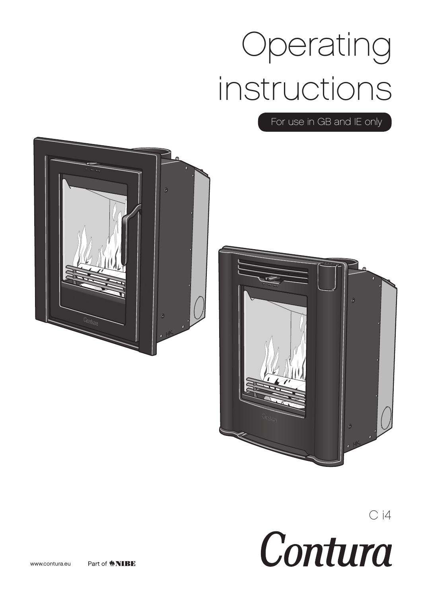# Operating instructions

For use in GB and IE only





 $C<sub>i4</sub>$ Contura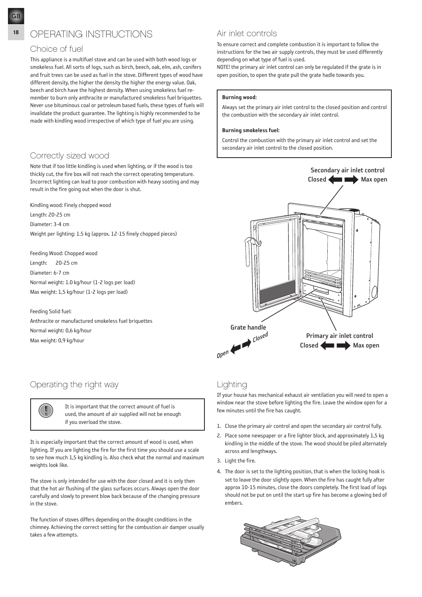#### choice of fuel

This appliance is a multifuel stove and can be used with both wood logs or smokeless fuel. All sorts of logs, such as birch, beech, oak, elm, ash, conifers and fruit trees can be used as fuel in the stove. Different types of wood have different density, the higher the density the higher the energy value. Oak, beech and birch have the highest density. When using smokeless fuel remember to burn only anthracite or manufactured smokeless fuel briquettes. Never use bituminous coal or petroleum based fuels, these types of fuels will invalidate the product guarantee. The lighting is highly recommended to be made with kindling wood irrespective of which type of fuel you are using.

#### correctly sized wood

Note that if too little kindling is used when lighting, or if the wood is too thickly cut, the fire box will not reach the correct operating temperature. Incorrect lighting can lead to poor combustion with heavy sooting and may result in the fire going out when the door is shut.

Kindling wood: Finely chopped wood

Length: 20-25 cm

Diameter: 3-4 cm

Weight per lighting: 1.5 kg (approx. 12-15 finely chopped pieces)

Feeding Wood: Chopped wood Length: 20-25 cm Diameter: 6-7 cm Normal weight: 1.0 kg/hour (1-2 logs per load) Max weight: 1,5 kg/hour (1-2 logs per load)

#### Feeding Solid fuel:

Anthracite or manufactured smokeless fuel briquettes Normal weight: 0,6 kg/hour Max weight: 0,9 kg/hour

# Operating the right way

I It is important that the correct amount of fuel is<br>used, the amount of air supplied will not be enough if you overload the stove.

It is especially important that the correct amount of wood is used, when lighting. If you are lighting the fire for the first time you should use a scale to see how much 1,5 kg kindling is. Also check what the normal and maximum weights look like.

The stove is only intended for use with the door closed and it is only then that the hot air flushing of the glass surfaces occurs. Always open the door carefully and slowly to prevent blow back because of the changing pressure in the stove.

The function of stoves differs depending on the draught conditions in the chimney. Achieving the correct setting for the combustion air damper usually takes a few attempts.

#### air inlet controls

To ensure correct and complete combustion it is important to follow the instructions for the two air supply controls, they must be used differently depending on what type of fuel is used.

NOTE! the primary air inlet control can only be regulated if the grate is in open position, to open the grate pull the grate hadle towards you.

#### Burning wood:

Always set the primary air inlet control to the closed position and control the combustion with the secondary air inlet control.

#### Burning smokeless fuel:

Control the combustion with the primary air inlet control and set the secondary air inlet control to the closed position.



### Lighting

If your house has mechanical exhaust air ventilation you will need to open a window near the stove before lighting the fire. Leave the window open for a few minutes until the fire has caught.

- 1. Close the primary air control and open the secondary air control fully.
- 2. Place some newspaper or a fire lighter block, and approximately 1,5 kg kindling in the middle of the stove. The wood should be piled alternately across and lengthways.
- 3. Light the fire.
- 4. The door is set to the lighting position, that is when the locking hook is set to leave the door slightly open. When the fire has caught fully after approx 10-15 minutes, close the doors completely. The first load of logs should not be put on until the start up fire has become a glowing bed of embers.

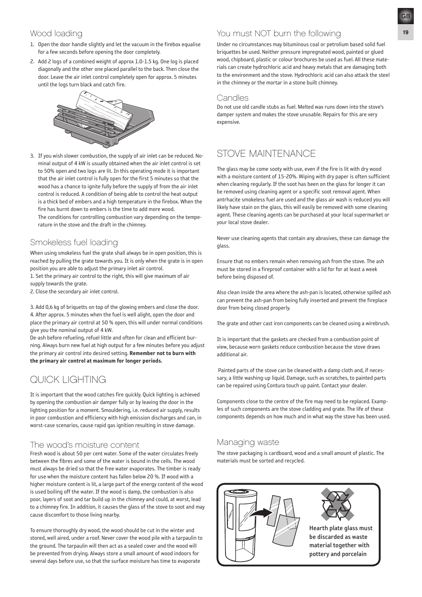- 1. Open the door handle slightly and let the vacuum in the firebox equalise for a few seconds before opening the door completely.
- 2. Add 2 logs of a combined weight of approx 1.0-1.5 kg. One log is placed diagonally and the other one placed parallel to the back. Then close the door. Leave the air inlet control completely open for approx. 5 minutes until the logs turn black and catch fire.



3. If you wish slower combustion, the supply of air inlet can be reduced. Nominal output of 4 kW is usually obtained when the air inlet control is set to 50% open and two logs are lit. In this operating mode it is important that the air inlet control is fully open for the first 5 minutes so that the wood has a chance to ignite fully before the supply of from the air inlet control is reduced. A condition of being able to control the heat output is a thick bed of embers and a high temperature in the firebox. When the fire has burnt down to embers is the time to add more wood. The conditions for controlling combustion vary depending on the tempe-

rature in the stove and the draft in the chimney.

#### Smokeless fuel loading

When using smokeless fuel the grate shall always be in open position, this is reached by pulling the grate towards you. It is only when the grate is in open position you are able to adjust the primary inlet air control.

- 1. Set the primary air control to the right, this will give maximum of air supply towards the grate.
- 2. Close the secondary air inlet control.

3. Add 0,6 kg of briquetts on top of the glowing embers and close the door. 4. After approx. 5 minutes when the fuel is well alight, open the door and place the primary air control at 50 % open, this will under normal conditions give you the nominal output of 4 kW.

De-ash before refueling, refuel little and often for clean and efficient burning. Always burn new fuel at high output for a few minutes before you adjust the primary air control into desired setting. Remember not to burn with the primary air control at maximum for longer periods.

# Quick lighting

It is important that the wood catches fire quickly. Quick lighting is achieved by opening the combustion air damper fully or by leaving the door in the lighting position for a moment. Smouldering, i.e. reduced air supply, results in poor combustion and efficiency with high emission discharges and can, in worst-case scenarios, cause rapid gas ignition resulting in stove damage.

#### The wood's moisture content

Fresh wood is about 50 per cent water. Some of the water circulates freely between the fibres and some of the water is bound in the cells. The wood must always be dried so that the free water evaporates. The timber is ready for use when the moisture content has fallen below 20 %. If wood with a higher moisture content is lit, a large part of the energy content of the wood is used boiling off the water. If the wood is damp, the combustion is also poor, layers of soot and tar build up in the chimney and could, at worst, lead to a chimney fire. In addition, it causes the glass of the stove to soot and may cause discomfort to those living nearby.

To ensure thoroughly dry wood, the wood should be cut in the winter and stored, well aired, under a roof. Never cover the wood pile with a tarpaulin to the ground. The tarpaulin will then act as a sealed cover and the wood will be prevented from drying. Always store a small amount of wood indoors for several days before use, so that the surface moisture has time to evaporate

#### Wood loading <sup>19</sup> You must NOT burn the following

Under no circumstances may bituminous coal or petrolium based solid fuel briquettes be used. Neither pressure impregnated wood, painted or glued wood, chipboard, plastic or colour brochures be used as fuel. All these materials can create hydrochloric acid and heavy metals that are damaging both to the environment and the stove. Hydrochloric acid can also attack the steel in the chimney or the mortar in a stone built chimney.

#### **Candles**

Do not use old candle stubs as fuel. Melted wax runs down into the stove's damper system and makes the stove unusable. Repairs for this are very expensive.

# STOVE MAINTENANCE

The glass may be come sooty with use, even if the fire is lit with dry wood with a moisture content of 15-20%. Wiping with dry paper is often sufficient when cleaning regularly. If the soot has been on the glass for longer it can be removed using cleaning agent or a specific soot removal agent. When antrhacite smokeless fuel are used and the glass air wash is reduced you will likely have stain on the glass, this will easily be removed with some cleaning agent. These cleaning agents can be purchased at your local supermarket or your local stove dealer.

Never use cleaning agents that contain any abrasives, these can damage the glass.

Ensure that no embers remain when removing ash from the stove. The ash must be stored in a fireproof container with a lid for for at least a week before being disposed of.

Also clean inside the area where the ash-pan is located, otherwise spilled ash can prevent the ash-pan from being fully inserted and prevent the fireplace door from being closed properly.

The grate and other cast iron components can be cleaned using a wirebrush.

It is important that the gaskets are checked from a combustion point of view, because worn gaskets reduce combustion because the stove draws additional air.

 Painted parts of the stove can be cleaned with a damp cloth and, if necessary, a little washing-up liquid. Damage, such as scratches, to painted parts can be repaired using Contura touch up paint. Contact your dealer.

Components close to the centre of the fire may need to be replaced. Examples of such components are the stove cladding and grate. The life of these components depends on how much and in what way the stove has been used.

#### Managing waste

The stove packaging is cardboard, wood and a small amount of plastic. The materials must be sorted and recycled.